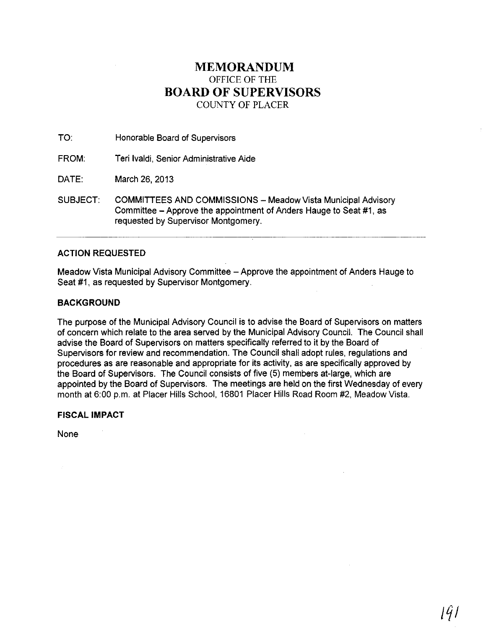# **MEMORANDUM** OFFICE OF THE **BOARD OF SUPERVISORS** COUNTY OF PLACER

TO: Honorable Board of Supervisors

FROM: Teri Ivaldi, Senior Administrative Aide

DATE: March 26,2013

SUBJECT: COMMITTEES AND COMMISSIONS - Meadow Vista Municipal Advisory Committee - Approve the appointment of Anders Hauge to Seat #1, as requested by Supervisor Montgomery.

# ACTION REQUESTED

Meadow Vista Municipal Advisory Committee - Approve the appointment of Anders Hauge to Seat #1, as requested by Supervisor Montgomery.

# **BACKGROUND**

The purpose of the Municipal Advisory Council is to advise the Board of Supervisors on matters of concern which relate to the area served by the Municipal Advisory Council. The Council shall advise the Board of Supervisors on matters specifically referred to it by the Board of Supervisors for review and recommendation. The Council shall adopt rules, regulations and procedures as are reasonable and appropriate for its activity, as are specifically approved by the Board of Supervisors. The Council consists of five (5) members at-large, which are appointed by the Board of Supervisors. The meetings are held on the first Wednesday of every month at 6:00 p.m. at Placer Hills School, 16801 Placer Hills Road Room #2, Meadow Vista.

**FISCAL IMPACT**

None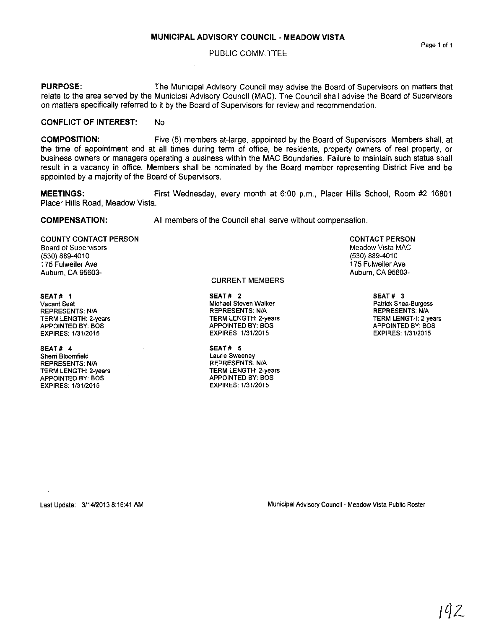#### PUBLIC COMMITTEE

**PURPOSE:** The Municipal Advisory Council may advise the Board of Supervisors on matters that relate to the area served by the Municipal Advisory Council (MAC). The Council shall advise the Board of Supervisors on matters specifically referred to it by the Board of Supervisors for review and recommendation.

## **CONFLICT OF INTEREST: No**

**COMPOSITION:** Five (5) members at-large, appointed by the Board of Supervisors. Members shall, at the lime of appointment and at all times during term of office, be residents, property owners of real property, or business owners or managers operating a business within the MAC Boundaries. Failure to maintain such status shall result in a vacancy in office. Members shall be nominated by the Board member representing District Five and be appointed by a majority of the Board of Supervisors.

**MEETINGS:** First Wednesday, every month at 6:00 p.m., Placer Hills School, Room #2 16801 Placer Hills Road, Meadow Vista.

## **COMPENSATION:**

All members of the Council shall serve without compensation.

COUNTY CONTACT PERSON Board of Supervisors (530) 889-4010 175 Fulweiler Ave Auburn, CA 95603-

SEAT # 1 **Vacant Seat** REPRESENTS: NIA TERM LENGTH: 2-years APPOINTED BY: BOS EXPIRES: 1131/2015

SEAT # 4 **Sherri Bloomfield** REPRESENTS: NIA TERM LENGTH: 2-years APPOINTED BY: BOS EXPIRES: 1/31/2015

CURRENT MEMBERS

SEAT# 2 **Michael Steven Walker** REPRESENTS: NIA TERM LENGTH: 2-years APPOINTED BY: BOS EXPIRES: 1/3112015

SEAT# 5 **Laurie Sweeney** REPRESENTS: NIA TERM LENGTH: 2-years APPOINTED BY: BOS EXPIRES: 1/31/2015

CONTACT PERSON

Meadow Vista MAC (530) 869-4010 175 Fulweiler Ave Auburn, CA 95603-

> SEAT # 3 **Patrick Shea·Burgess** REPRESENTS: NIA TERM LENGTH: 2-years APPOINTED BY: BOS EXPIRES: 1131/2015

Last Update: 3/14/20138:16:41 AM **Municipal Advisory Council - Meadow Vista Public Roster**

**Page 1 of 1**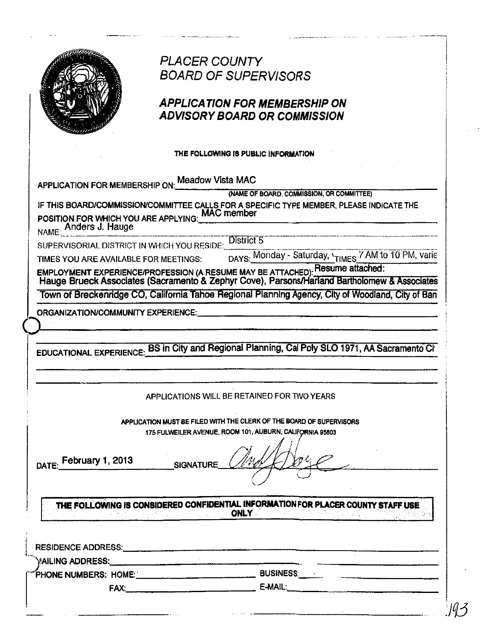|                                                              | <b>PLACER COUNTY</b>                                                                                                                                                          |
|--------------------------------------------------------------|-------------------------------------------------------------------------------------------------------------------------------------------------------------------------------|
|                                                              | <b>BOARD OF SUPERVISORS</b>                                                                                                                                                   |
|                                                              | APPLICATION FOR MEMBERSHIP ON                                                                                                                                                 |
|                                                              | ADVISORY BOARD OR COMMISSION                                                                                                                                                  |
|                                                              |                                                                                                                                                                               |
|                                                              | THE FOLLOWING IS PUBLIC INFORMATION                                                                                                                                           |
|                                                              | APPLICATION FOR MEMBERSHIP ON: Meadow Vista MAC                                                                                                                               |
|                                                              | (NAME OF BOARD, COMMISSION, OR COMMITTEE)                                                                                                                                     |
|                                                              | IF THIS BOARD/COMMISSION/COMMITTEE CALLS FOR A SPECIFIC TYPE MEMBER, PLEASE INDICATE THE                                                                                      |
|                                                              | POSITION FOR WHICH YOU ARE APPLYING: MAC member<br>NAME: Anders J. Hauge                                                                                                      |
|                                                              |                                                                                                                                                                               |
|                                                              | SUPERVISORIAL DISTRICT IN WHICH YOU RESIDE: District 5                                                                                                                        |
| TIMES YOU ARE AVAILABLE FOR MEETINGS:                        | DAYS: Monday - Saturday, 'TIMES 7 AM to 10 PM, varie                                                                                                                          |
|                                                              | EMPLOYMENT EXPERIENCE/PROFESSION (A RESUME MAY BE ATTACHED). Resume attached:<br>Hauge Brueck Associates (Sacramento & Zephyr Cove), Parsons/Harland Bartholomew & Associates |
|                                                              |                                                                                                                                                                               |
|                                                              | Town of Breckenridge CO, California Tahoe Regional Planning Agency, City of Woodland, City of Ban                                                                             |
|                                                              |                                                                                                                                                                               |
|                                                              | EDUCATIONAL EXPERIENCE: BS in City and Regional Planning, Cal Poly SLO 1971, AA Sacramento Ci                                                                                 |
|                                                              | APPLICATIONS WILL BE RETAINED FOR TWO YEARS                                                                                                                                   |
|                                                              |                                                                                                                                                                               |
|                                                              | APPLICATION MUST BE FILED WITH THE CLERK OF THE BOARD OF SUPERVISORS<br>175 FULWEILER AVENUE, ROOM 101, AUBURN, CALIFORNIA 95803                                              |
|                                                              |                                                                                                                                                                               |
|                                                              |                                                                                                                                                                               |
|                                                              | SIGNATURE                                                                                                                                                                     |
|                                                              |                                                                                                                                                                               |
|                                                              |                                                                                                                                                                               |
|                                                              | THE FOLLOWING IS CONSIDERED CONFIDENTIAL INFORMATION FOR PLACER COUNTY STAFF USE<br><b>ONLY</b>                                                                               |
|                                                              |                                                                                                                                                                               |
|                                                              |                                                                                                                                                                               |
|                                                              | RESIDENCE ADDRESS: North Contract of ADDRESS:                                                                                                                                 |
|                                                              |                                                                                                                                                                               |
| ORGANIZATION/COMMUNITY EXPERIENCE:<br>DATE: February 1, 2013 | PHONE NUMBERS: HOME: ___________________________________ BUSINESS: ______________                                                                                             |